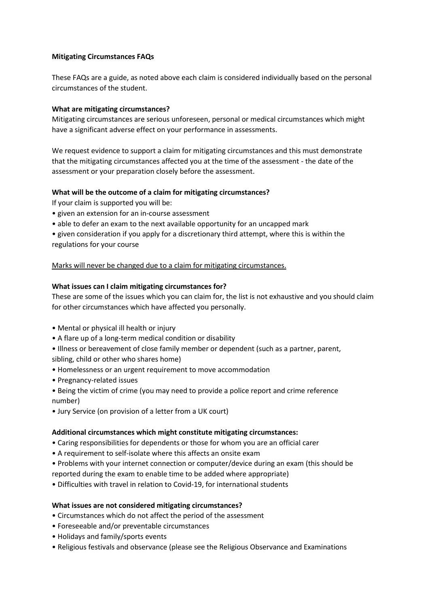# **Mitigating Circumstances FAQs**

These FAQs are a guide, as noted above each claim is considered individually based on the personal circumstances of the student.

# **What are mitigating circumstances?**

Mitigating circumstances are serious unforeseen, personal or medical circumstances which might have a significant adverse effect on your performance in assessments.

We request evidence to support a claim for mitigating circumstances and this must demonstrate that the mitigating circumstances affected you at the time of the assessment - the date of the assessment or your preparation closely before the assessment.

# **What will be the outcome of a claim for mitigating circumstances?**

If your claim is supported you will be:

- given an extension for an in-course assessment
- able to defer an exam to the next available opportunity for an uncapped mark

• given consideration if you apply for a discretionary third attempt, where this is within the regulations for your course

# Marks will never be changed due to a claim for mitigating circumstances.

#### **What issues can I claim mitigating circumstances for?**

These are some of the issues which you can claim for, the list is not exhaustive and you should claim for other circumstances which have affected you personally.

- Mental or physical ill health or injury
- A flare up of a long-term medical condition or disability
- Illness or bereavement of close family member or dependent (such as a partner, parent,

sibling, child or other who shares home)

- Homelessness or an urgent requirement to move accommodation
- Pregnancy-related issues
- Being the victim of crime (you may need to provide a police report and crime reference number)
- Jury Service (on provision of a letter from a UK court)

#### **Additional circumstances which might constitute mitigating circumstances:**

- Caring responsibilities for dependents or those for whom you are an official carer
- A requirement to self-isolate where this affects an onsite exam
- Problems with your internet connection or computer/device during an exam (this should be reported during the exam to enable time to be added where appropriate)
- Difficulties with travel in relation to Covid-19, for international students

#### **What issues are not considered mitigating circumstances?**

- Circumstances which do not affect the period of the assessment
- Foreseeable and/or preventable circumstances
- Holidays and family/sports events
- Religious festivals and observance (please see the Religious Observance and Examinations